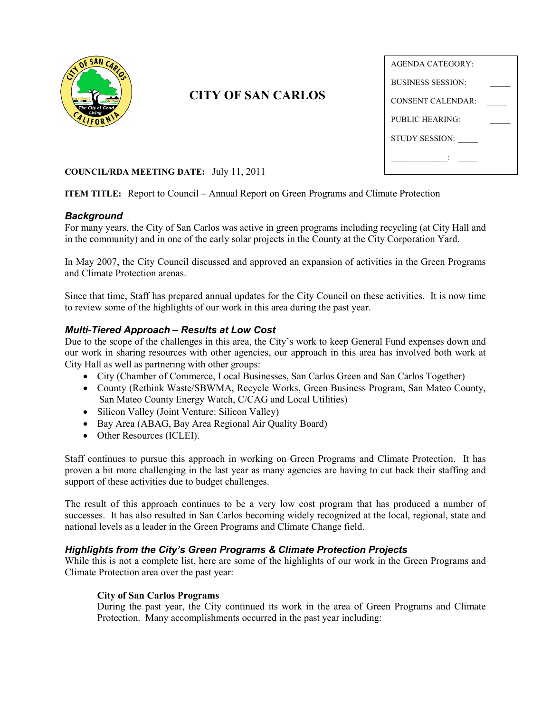

# **CITY OF SAN CARLOS**

| <b>AGENDA CATEGORY:</b>  |  |
|--------------------------|--|
| <b>BUSINESS SESSION:</b> |  |
| CONSENT CALENDAR ·       |  |
| PUBLIC HEARING:          |  |
| <b>STUDY SESSION:</b>    |  |
|                          |  |

#### **COUNCIL/RDA MEETING DATE:** July 11, 2011

**ITEM TITLE:** Report to Council – Annual Report on Green Programs and Climate Protection

#### *Background*

For many years, the City of San Carlos was active in green programs including recycling (at City Hall and in the community) and in one of the early solar projects in the County at the City Corporation Yard.

In May 2007, the City Council discussed and approved an expansion of activities in the Green Programs and Climate Protection arenas.

Since that time, Staff has prepared annual updates for the City Council on these activities. It is now time to review some of the highlights of our work in this area during the past year.

#### *Multi-Tiered Approach – Results at Low Cost*

Due to the scope of the challenges in this area, the City's work to keep General Fund expenses down and our work in sharing resources with other agencies, our approach in this area has involved both work at City Hall as well as partnering with other groups:

- City (Chamber of Commerce, Local Businesses, San Carlos Green and San Carlos Together)
- County (Rethink Waste/SBWMA, Recycle Works, Green Business Program, San Mateo County, San Mateo County Energy Watch, C/CAG and Local Utilities)
- Silicon Valley (Joint Venture: Silicon Valley)
- Bay Area (ABAG, Bay Area Regional Air Quality Board)
- Other Resources (ICLEI).

Staff continues to pursue this approach in working on Green Programs and Climate Protection. It has proven a bit more challenging in the last year as many agencies are having to cut back their staffing and support of these activities due to budget challenges.

The result of this approach continues to be a very low cost program that has produced a number of successes. It has also resulted in San Carlos becoming widely recognized at the local, regional, state and national levels as a leader in the Green Programs and Climate Change field.

#### *Highlights from the City's Green Programs & Climate Protection Projects*

While this is not a complete list, here are some of the highlights of our work in the Green Programs and Climate Protection area over the past year:

#### **City of San Carlos Programs**

During the past year, the City continued its work in the area of Green Programs and Climate Protection. Many accomplishments occurred in the past year including: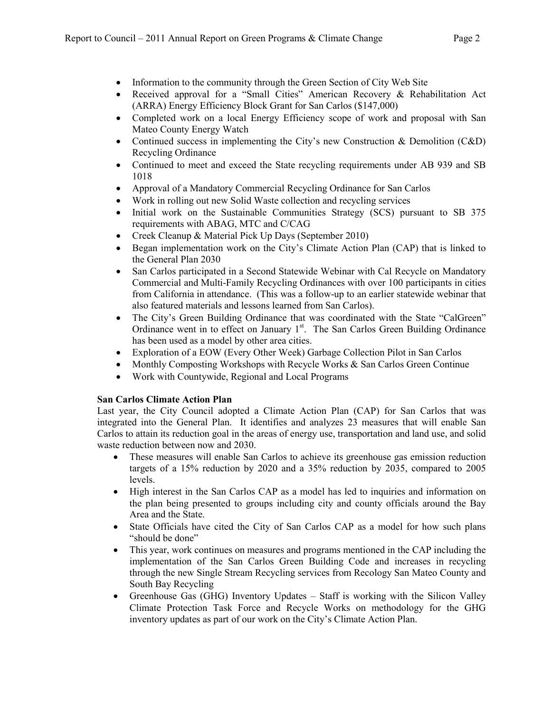- Information to the community through the Green Section of City Web Site
- Received approval for a "Small Cities" American Recovery & Rehabilitation Act (ARRA) Energy Efficiency Block Grant for San Carlos (\$147,000)
- Completed work on a local Energy Efficiency scope of work and proposal with San Mateo County Energy Watch
- Continued success in implementing the City's new Construction & Demolition (C&D) Recycling Ordinance
- Continued to meet and exceed the State recycling requirements under AB 939 and SB 1018
- Approval of a Mandatory Commercial Recycling Ordinance for San Carlos
- Work in rolling out new Solid Waste collection and recycling services
- Initial work on the Sustainable Communities Strategy (SCS) pursuant to SB 375 requirements with ABAG, MTC and C/CAG
- Creek Cleanup & Material Pick Up Days (September 2010)
- Began implementation work on the City's Climate Action Plan (CAP) that is linked to the General Plan 2030
- San Carlos participated in a Second Statewide Webinar with Cal Recycle on Mandatory Commercial and Multi-Family Recycling Ordinances with over 100 participants in cities from California in attendance. (This was a follow-up to an earlier statewide webinar that also featured materials and lessons learned from San Carlos).
- The City's Green Building Ordinance that was coordinated with the State "CalGreen" Ordinance went in to effect on January  $1<sup>st</sup>$ . The San Carlos Green Building Ordinance has been used as a model by other area cities.
- Exploration of a EOW (Every Other Week) Garbage Collection Pilot in San Carlos
- Monthly Composting Workshops with Recycle Works  $\&$  San Carlos Green Continue
- Work with Countywide, Regional and Local Programs

### **San Carlos Climate Action Plan**

Last year, the City Council adopted a Climate Action Plan (CAP) for San Carlos that was integrated into the General Plan. It identifies and analyzes 23 measures that will enable San Carlos to attain its reduction goal in the areas of energy use, transportation and land use, and solid waste reduction between now and 2030.

- These measures will enable San Carlos to achieve its greenhouse gas emission reduction targets of a 15% reduction by 2020 and a 35% reduction by 2035, compared to 2005 levels.
- High interest in the San Carlos CAP as a model has led to inquiries and information on the plan being presented to groups including city and county officials around the Bay Area and the State.
- State Officials have cited the City of San Carlos CAP as a model for how such plans "should be done"
- This year, work continues on measures and programs mentioned in the CAP including the implementation of the San Carlos Green Building Code and increases in recycling through the new Single Stream Recycling services from Recology San Mateo County and South Bay Recycling
- Greenhouse Gas (GHG) Inventory Updates Staff is working with the Silicon Valley Climate Protection Task Force and Recycle Works on methodology for the GHG inventory updates as part of our work on the City's Climate Action Plan.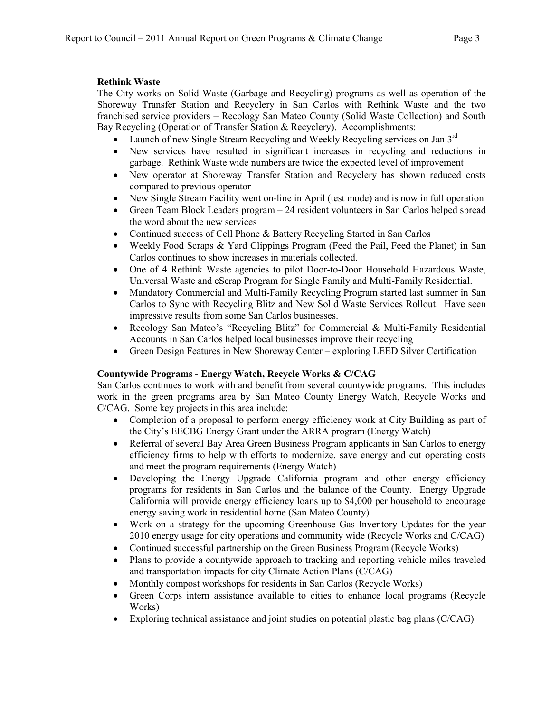## **Rethink Waste**

The City works on Solid Waste (Garbage and Recycling) programs as well as operation of the Shoreway Transfer Station and Recyclery in San Carlos with Rethink Waste and the two franchised service providers – Recology San Mateo County (Solid Waste Collection) and South Bay Recycling (Operation of Transfer Station & Recyclery). Accomplishments:

- Launch of new Single Stream Recycling and Weekly Recycling services on Jan  $3<sup>rd</sup>$
- New services have resulted in significant increases in recycling and reductions in garbage. Rethink Waste wide numbers are twice the expected level of improvement
- New operator at Shoreway Transfer Station and Recyclery has shown reduced costs compared to previous operator
- New Single Stream Facility went on-line in April (test mode) and is now in full operation
- Green Team Block Leaders program 24 resident volunteers in San Carlos helped spread the word about the new services
- Continued success of Cell Phone & Battery Recycling Started in San Carlos
- Weekly Food Scraps & Yard Clippings Program (Feed the Pail, Feed the Planet) in San Carlos continues to show increases in materials collected.
- One of 4 Rethink Waste agencies to pilot Door-to-Door Household Hazardous Waste, Universal Waste and eScrap Program for Single Family and Multi-Family Residential.
- Mandatory Commercial and Multi-Family Recycling Program started last summer in San Carlos to Sync with Recycling Blitz and New Solid Waste Services Rollout. Have seen impressive results from some San Carlos businesses.
- Recology San Mateo's "Recycling Blitz" for Commercial & Multi-Family Residential Accounts in San Carlos helped local businesses improve their recycling
- Green Design Features in New Shoreway Center exploring LEED Silver Certification

### **Countywide Programs - Energy Watch, Recycle Works & C/CAG**

San Carlos continues to work with and benefit from several countywide programs. This includes work in the green programs area by San Mateo County Energy Watch, Recycle Works and C/CAG. Some key projects in this area include:

- Completion of a proposal to perform energy efficiency work at City Building as part of the City's EECBG Energy Grant under the ARRA program (Energy Watch)
- Referral of several Bay Area Green Business Program applicants in San Carlos to energy efficiency firms to help with efforts to modernize, save energy and cut operating costs and meet the program requirements (Energy Watch)
- Developing the Energy Upgrade California program and other energy efficiency programs for residents in San Carlos and the balance of the County. Energy Upgrade California will provide energy efficiency loans up to \$4,000 per household to encourage energy saving work in residential home (San Mateo County)
- Work on a strategy for the upcoming Greenhouse Gas Inventory Updates for the year 2010 energy usage for city operations and community wide (Recycle Works and C/CAG)
- Continued successful partnership on the Green Business Program (Recycle Works)
- Plans to provide a countywide approach to tracking and reporting vehicle miles traveled and transportation impacts for city Climate Action Plans (C/CAG)
- Monthly compost workshops for residents in San Carlos (Recycle Works)
- Green Corps intern assistance available to cities to enhance local programs (Recycle Works)
- Exploring technical assistance and joint studies on potential plastic bag plans (C/CAG)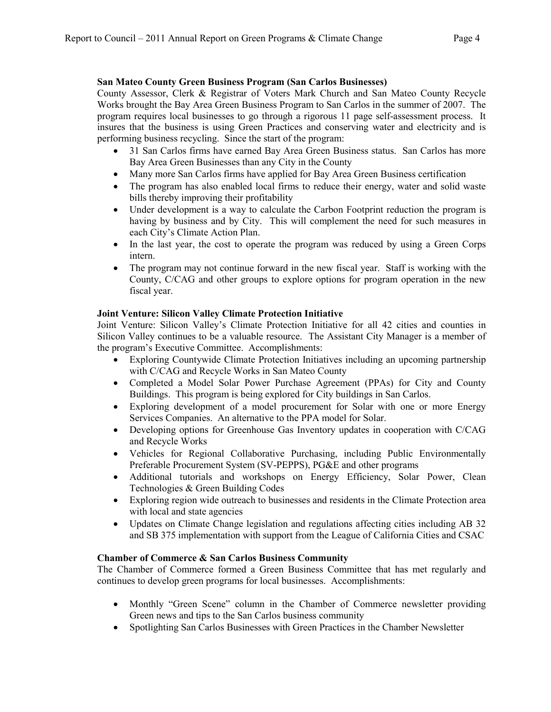#### **San Mateo County Green Business Program (San Carlos Businesses)**

County Assessor, Clerk & Registrar of Voters Mark Church and San Mateo County Recycle Works brought the Bay Area Green Business Program to San Carlos in the summer of 2007. The program requires local businesses to go through a rigorous 11 page self-assessment process. It insures that the business is using Green Practices and conserving water and electricity and is performing business recycling. Since the start of the program:

- 31 San Carlos firms have earned Bay Area Green Business status. San Carlos has more Bay Area Green Businesses than any City in the County
- Many more San Carlos firms have applied for Bay Area Green Business certification
- The program has also enabled local firms to reduce their energy, water and solid waste bills thereby improving their profitability
- Under development is a way to calculate the Carbon Footprint reduction the program is having by business and by City. This will complement the need for such measures in each City's Climate Action Plan.
- In the last year, the cost to operate the program was reduced by using a Green Corps intern.
- The program may not continue forward in the new fiscal year. Staff is working with the County, C/CAG and other groups to explore options for program operation in the new fiscal year.

### **Joint Venture: Silicon Valley Climate Protection Initiative**

Joint Venture: Silicon Valley's Climate Protection Initiative for all 42 cities and counties in Silicon Valley continues to be a valuable resource. The Assistant City Manager is a member of the program's Executive Committee. Accomplishments:

- Exploring Countywide Climate Protection Initiatives including an upcoming partnership with C/CAG and Recycle Works in San Mateo County
- Completed a Model Solar Power Purchase Agreement (PPAs) for City and County Buildings. This program is being explored for City buildings in San Carlos.
- Exploring development of a model procurement for Solar with one or more Energy Services Companies. An alternative to the PPA model for Solar.
- Developing options for Greenhouse Gas Inventory updates in cooperation with C/CAG and Recycle Works
- Vehicles for Regional Collaborative Purchasing, including [Public Environmentally](http://sv-pepps.org/node/1) [Preferable Procurement System \(SV-PEPPS\), P](http://sv-pepps.org/node/1)G&E and other programs
- Additional tutorials and workshops on Energy Efficiency, Solar Power, Clean Technologies & Green Building Codes
- Exploring region wide outreach to businesses and residents in the Climate Protection area with local and state agencies
- Updates on Climate Change legislation and regulations affecting cities including AB 32 and SB 375 implementation with support from the League of California Cities and CSAC

#### **Chamber of Commerce & San Carlos Business Community**

The Chamber of Commerce formed a Green Business Committee that has met regularly and continues to develop green programs for local businesses. Accomplishments:

- Monthly "Green Scene" column in the Chamber of Commerce newsletter providing Green news and tips to the San Carlos business community
- Spotlighting San Carlos Businesses with Green Practices in the Chamber Newsletter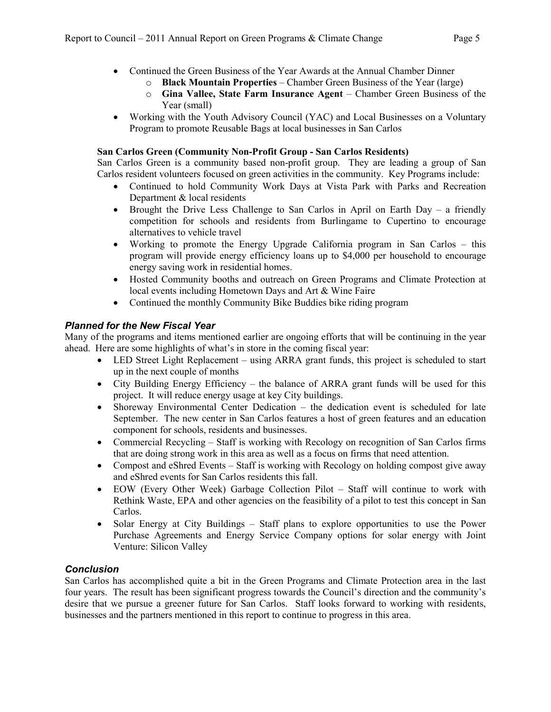- Continued the Green Business of the Year Awards at the Annual Chamber Dinner
	- o **Black Mountain Properties** Chamber Green Business of the Year (large)
	- o **Gina Vallee, State Farm Insurance Agent**  Chamber Green Business of the Year (small)
- Working with the Youth Advisory Council (YAC) and Local Businesses on a Voluntary Program to promote Reusable Bags at local businesses in San Carlos

### **San Carlos Green (Community Non-Profit Group - San Carlos Residents)**

San Carlos Green is a community based non-profit group. They are leading a group of San Carlos resident volunteers focused on green activities in the community. Key Programs include:

- Continued to hold Community Work Days at Vista Park with Parks and Recreation Department & local residents
- Brought the Drive Less Challenge to San Carlos in April on Earth Day a friendly competition for schools and residents from Burlingame to Cupertino to encourage alternatives to vehicle travel
- Working to promote the Energy Upgrade California program in San Carlos this program will provide energy efficiency loans up to \$4,000 per household to encourage energy saving work in residential homes.
- Hosted Community booths and outreach on Green Programs and Climate Protection at local events including Hometown Days and Art & Wine Faire
- Continued the monthly Community Bike Buddies bike riding program

### *Planned for the New Fiscal Year*

Many of the programs and items mentioned earlier are ongoing efforts that will be continuing in the year ahead. Here are some highlights of what's in store in the coming fiscal year:

- LED Street Light Replacement using ARRA grant funds, this project is scheduled to start up in the next couple of months
- City Building Energy Efficiency the balance of ARRA grant funds will be used for this project. It will reduce energy usage at key City buildings.
- Shoreway Environmental Center Dedication the dedication event is scheduled for late September. The new center in San Carlos features a host of green features and an education component for schools, residents and businesses.
- Commercial Recycling Staff is working with Recology on recognition of San Carlos firms that are doing strong work in this area as well as a focus on firms that need attention.
- Compost and eShred Events Staff is working with Recology on holding compost give away and eShred events for San Carlos residents this fall.
- EOW (Every Other Week) Garbage Collection Pilot Staff will continue to work with Rethink Waste, EPA and other agencies on the feasibility of a pilot to test this concept in San Carlos.
- Solar Energy at City Buildings Staff plans to explore opportunities to use the Power Purchase Agreements and Energy Service Company options for solar energy with Joint Venture: Silicon Valley

### *Conclusion*

San Carlos has accomplished quite a bit in the Green Programs and Climate Protection area in the last four years. The result has been significant progress towards the Council's direction and the community's desire that we pursue a greener future for San Carlos. Staff looks forward to working with residents, businesses and the partners mentioned in this report to continue to progress in this area.